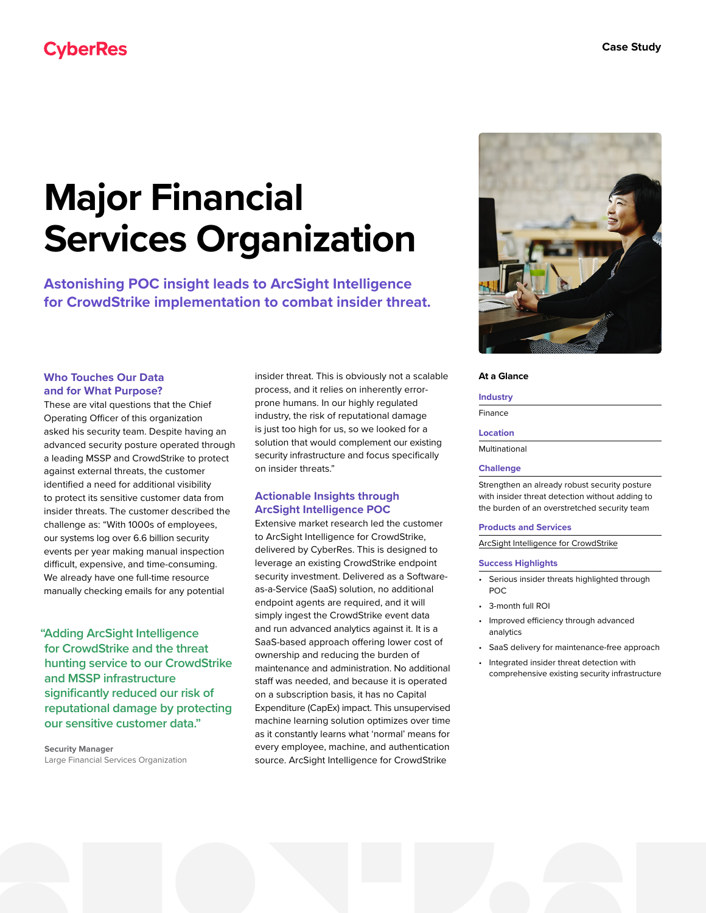# **CyberRes**

# **Major Financial Services Organization**

**Astonishing POC insight leads to ArcSight Intelligence for CrowdStrike implementation to combat insider threat.**

# **Who Touches Our Data and for What Purpose?**

These are vital questions that the Chief Operating Officer of this organization asked his security team. Despite having an advanced security posture operated through a leading MSSP and CrowdStrike to protect against external threats, the customer identified a need for additional visibility to protect its sensitive customer data from insider threats. The customer described the challenge as: "With 1000s of employees, our systems log over 6.6 billion security events per year making manual inspection difficult, expensive, and time-consuming. We already have one full-time resource manually checking emails for any potential

**"Adding ArcSight Intelligence for CrowdStrike and the threat hunting service to our CrowdStrike and MSSP infrastructure significantly reduced our risk of reputational damage by protecting our sensitive customer data."**

**Security Manager** Large Financial Services Organization insider threat. This is obviously not a scalable process, and it relies on inherently errorprone humans. In our highly regulated industry, the risk of reputational damage is just too high for us, so we looked for a solution that would complement our existing security infrastructure and focus specifically on insider threats."

# **Actionable Insights through ArcSight Intelligence POC**

Extensive market research led the customer to ArcSight Intelligence for CrowdStrike, delivered by CyberRes. This is designed to leverage an existing CrowdStrike endpoint security investment. Delivered as a Softwareas-a-Service (SaaS) solution, no additional endpoint agents are required, and it will simply ingest the CrowdStrike event data and run advanced analytics against it. It is a SaaS-based approach offering lower cost of ownership and reducing the burden of maintenance and administration. No additional staff was needed, and because it is operated on a subscription basis, it has no Capital Expenditure (CapEx) impact. This unsupervised machine learning solution optimizes over time as it constantly learns what 'normal' means for every employee, machine, and authentication source. ArcSight Intelligence for CrowdStrike



#### **At a Glance**

#### **Industry**

Finance

#### **Location**

Multinational

### **Challenge**

Strengthen an already robust security posture with insider threat detection without adding to the burden of an overstretched security team

#### **Products and Services**

[ArcSight Intelligence for CrowdStrike](https://www.microfocus.com/en-us/cyberres/partners/crowdstrike)

#### **Success Highlights**

- Serious insider threats highlighted through POC
- 3-month full ROI
- Improved efficiency through advanced analytics
- SaaS delivery for maintenance-free approach
- Integrated insider threat detection with comprehensive existing security infrastructure